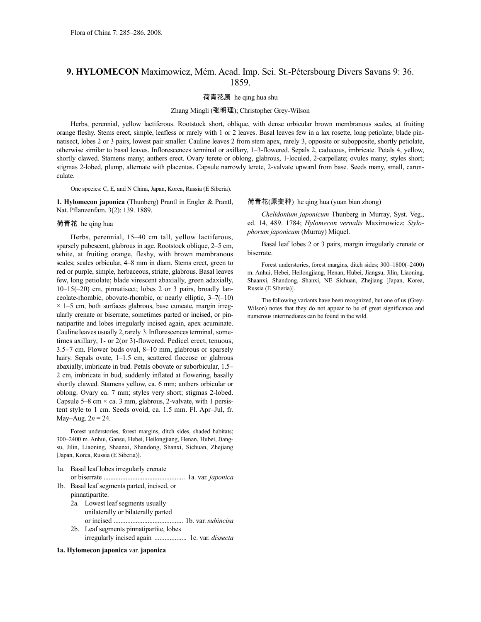# **9. HYLOMECON** Maximowicz, Mém. Acad. Imp. Sci. St.-Pétersbourg Divers Savans 9: 36. 1859.

荷青花属 he qing hua shu

### Zhang Mingli (张明理); Christopher Grey-Wilson

Herbs, perennial, yellow lactiferous. Rootstock short, oblique, with dense orbicular brown membranous scales, at fruiting orange fleshy. Stems erect, simple, leafless or rarely with 1 or 2 leaves. Basal leaves few in a lax rosette, long petiolate; blade pinnatisect, lobes 2 or 3 pairs, lowest pair smaller. Cauline leaves 2 from stem apex, rarely 3, opposite or subopposite, shortly petiolate, otherwise similar to basal leaves. Inflorescences terminal or axillary, 1–3-flowered. Sepals 2, caducous, imbricate. Petals 4, yellow, shortly clawed. Stamens many; anthers erect. Ovary terete or oblong, glabrous, 1-loculed, 2-carpellate; ovules many; styles short; stigmas 2-lobed, plump, alternate with placentas. Capsule narrowly terete, 2-valvate upward from base. Seeds many, small, carunculate.

One species: C, E, and N China, Japan, Korea, Russia (E Siberia).

**1. Hylomecon japonica** (Thunberg) Prantl in Engler & Prantl, Nat. Pflanzenfam. 3(2): 139. 1889.

## 荷青花 he qing hua

Herbs, perennial, 15–40 cm tall, yellow lactiferous, sparsely pubescent, glabrous in age. Rootstock oblique, 2–5 cm, white, at fruiting orange, fleshy, with brown membranous scales; scales orbicular, 4–8 mm in diam. Stems erect, green to red or purple, simple, herbaceous, striate, glabrous. Basal leaves few, long petiolate; blade virescent abaxially, green adaxially, 10–15(–20) cm, pinnatisect; lobes 2 or 3 pairs, broadly lanceolate-rhombic, obovate-rhombic, or nearly elliptic, 3–7(–10)  $\times$  1–5 cm, both surfaces glabrous, base cuneate, margin irregularly crenate or biserrate, sometimes parted or incised, or pinnatipartite and lobes irregularly incised again, apex acuminate. Cauline leaves usually 2, rarely 3. Inflorescences terminal, sometimes axillary, 1- or 2(or 3)-flowered. Pedicel erect, tenuous, 3.5–7 cm. Flower buds oval, 8–10 mm, glabrous or sparsely hairy. Sepals ovate, 1-1.5 cm, scattered floccose or glabrous abaxially, imbricate in bud. Petals obovate or suborbicular, 1.5– 2 cm, imbricate in bud, suddenly inflated at flowering, basally shortly clawed. Stamens yellow, ca. 6 mm; anthers orbicular or oblong. Ovary ca. 7 mm; styles very short; stigmas 2-lobed. Capsule 5–8 cm  $\times$  ca. 3 mm, glabrous, 2-valvate, with 1 persistent style to 1 cm. Seeds ovoid, ca. 1.5 mm. Fl. Apr–Jul, fr. May–Aug. 2*n* = 24.

Forest understories, forest margins, ditch sides, shaded habitats; 300–2400 m. Anhui, Gansu, Hebei, Heilongjiang, Henan, Hubei, Jiangsu, Jilin, Liaoning, Shaanxi, Shandong, Shanxi, Sichuan, Zhejiang [Japan, Korea, Russia (E Siberia)].

- 1a. Basal leaf lobes irregularly crenate
- or biserrate ................................................ 1a. var. *japonica* 1b. Basal leaf segments parted, incised, or
	- pinnatipartite.
	- 2a. Lowest leaf segments usually unilaterally or bilaterally parted or incised ......................................... 1b. var. *subincisa* 2b. Leaf segments pinnatipartite, lobes
	- irregularly incised again ................... 1c. var. *dissecta*

#### **1a. Hylomecon japonica** var. **japonica**

#### 荷青花(原变种) he qing hua (yuan bian zhong)

*Chelidonium japonicum* Thunberg in Murray, Syst. Veg., ed. 14, 489. 1784; *Hylomecon vernalis* Maximowicz; *Stylophorum japonicum* (Murray) Miquel.

Basal leaf lobes 2 or 3 pairs, margin irregularly crenate or biserrate.

Forest understories, forest margins, ditch sides; 300–1800(–2400) m. Anhui, Hebei, Heilongjiang, Henan, Hubei, Jiangsu, Jilin, Liaoning, Shaanxi, Shandong, Shanxi, NE Sichuan, Zhejiang [Japan, Korea, Russia (E Siberia)].

The following variants have been recognized, but one of us (Grey-Wilson) notes that they do not appear to be of great significance and numerous intermediates can be found in the wild.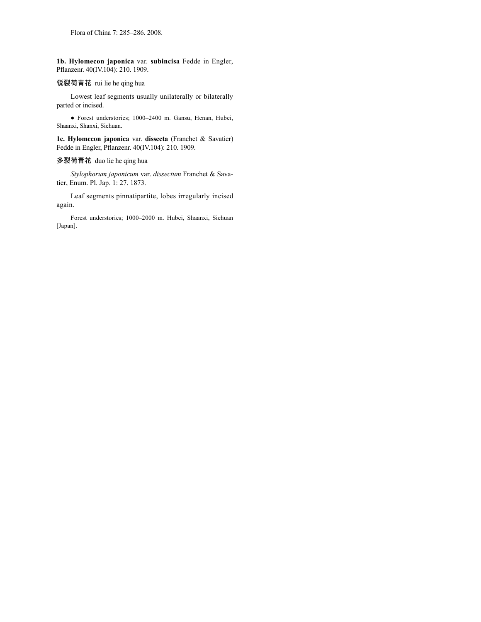**1b. Hylomecon japonica** var. **subincisa** Fedde in Engler, Pflanzenr. 40(IV.104): 210. 1909.

## 锐裂荷青花 rui lie he qing hua

Lowest leaf segments usually unilaterally or bilaterally parted or incised.

● Forest understories; 1000–2400 m. Gansu, Henan, Hubei, Shaanxi, Shanxi, Sichuan.

**1c. Hylomecon japonica** var. **dissecta** (Franchet & Savatier) Fedde in Engler, Pflanzenr. 40(IV.104): 210. 1909.

## 多裂荷青花 duo lie he qing hua

*Stylophorum japonicum* var. *dissectum* Franchet & Savatier, Enum. Pl. Jap. 1: 27. 1873.

Leaf segments pinnatipartite, lobes irregularly incised again.

Forest understories; 1000–2000 m. Hubei, Shaanxi, Sichuan [Japan].